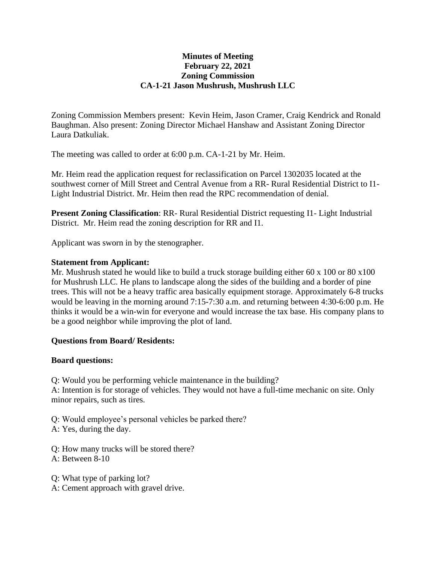## **Minutes of Meeting February 22, 2021 Zoning Commission CA-1-21 Jason Mushrush, Mushrush LLC**

Zoning Commission Members present: Kevin Heim, Jason Cramer, Craig Kendrick and Ronald Baughman. Also present: Zoning Director Michael Hanshaw and Assistant Zoning Director Laura Datkuliak.

The meeting was called to order at 6:00 p.m. CA-1-21 by Mr. Heim.

Mr. Heim read the application request for reclassification on Parcel 1302035 located at the southwest corner of Mill Street and Central Avenue from a RR- Rural Residential District to I1- Light Industrial District. Mr. Heim then read the RPC recommendation of denial.

**Present Zoning Classification**: RR- Rural Residential District requesting I1- Light Industrial District. Mr. Heim read the zoning description for RR and I1.

Applicant was sworn in by the stenographer.

## **Statement from Applicant:**

Mr. Mushrush stated he would like to build a truck storage building either 60 x 100 or 80 x 100 for Mushrush LLC. He plans to landscape along the sides of the building and a border of pine trees. This will not be a heavy traffic area basically equipment storage. Approximately 6-8 trucks would be leaving in the morning around 7:15-7:30 a.m. and returning between 4:30-6:00 p.m. He thinks it would be a win-win for everyone and would increase the tax base. His company plans to be a good neighbor while improving the plot of land.

## **Questions from Board/ Residents:**

## **Board questions:**

Q: Would you be performing vehicle maintenance in the building? A: Intention is for storage of vehicles. They would not have a full-time mechanic on site. Only minor repairs, such as tires.

Q: Would employee's personal vehicles be parked there? A: Yes, during the day.

Q: How many trucks will be stored there? A: Between 8-10

Q: What type of parking lot?

A: Cement approach with gravel drive.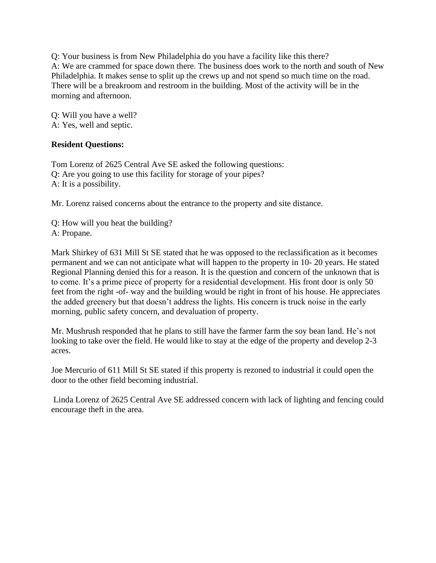Q: Your business is from New Philadelphia do you have a facility like this there? A: We are crammed for space down there. The business does work to the north and south of New Philadelphia. It makes sense to split up the crews up and not spend so much time on the road. There will be a breakroom and restroom in the building. Most of the activity will be in the morning and afternoon.

Q: Will you have a well? A: Yes, well and septic.

# **Resident Questions:**

Tom Lorenz of 2625 Central Ave SE asked the following questions: Q: Are you going to use this facility for storage of your pipes? A: It is a possibility.

Mr. Lorenz raised concerns about the entrance to the property and site distance.

Q: How will you heat the building? A: Propane.

Mark Shirkey of 631 Mill St SE stated that he was opposed to the reclassification as it becomes permanent and we can not anticipate what will happen to the property in 10- 20 years. He stated Regional Planning denied this for a reason. It is the question and concern of the unknown that is to come. It's a prime piece of property for a residential development. His front door is only 50 feet from the right -of- way and the building would be right in front of his house. He appreciates the added greenery but that doesn't address the lights. His concern is truck noise in the early morning, public safety concern, and devaluation of property.

Mr. Mushrush responded that he plans to still have the farmer farm the soy bean land. He's not looking to take over the field. He would like to stay at the edge of the property and develop 2-3 acres.

Joe Mercurio of 611 Mill St SE stated if this property is rezoned to industrial it could open the door to the other field becoming industrial.

Linda Lorenz of 2625 Central Ave SE addressed concern with lack of lighting and fencing could encourage theft in the area.